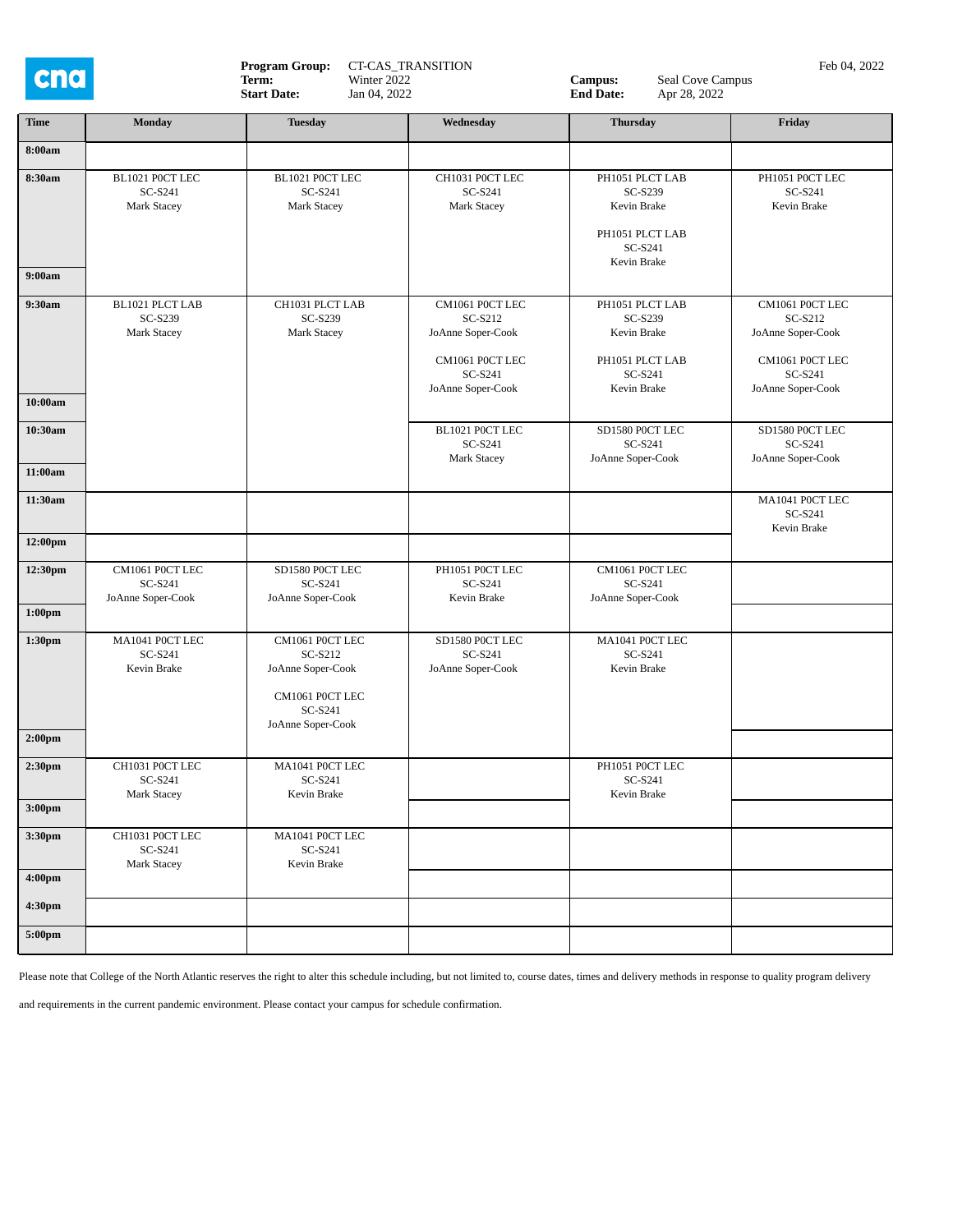

**Program Group:** CT-CAS\_TRANSITION **Campus:** Campus: Campus: Eeb 04, 2022 **Term:** Winter 2022 **Campus:** Campus: Eeb 04, 2022 **Term:** Winter 2022 **Campus:** Seal Cove Campus<br>
Start Date: Jan 04, 2022 **End Date:** Apr 28, 2022

**Start Date:** Jan 04, 2022 **End Date:** Apr 28, 2022

| <b>Time</b>                              | <b>Monday</b>                                   | <b>Tuesday</b>                                                                                     | Wednesday                                                                       | <b>Thursday</b>                                                                        | Friday                                                                          |
|------------------------------------------|-------------------------------------------------|----------------------------------------------------------------------------------------------------|---------------------------------------------------------------------------------|----------------------------------------------------------------------------------------|---------------------------------------------------------------------------------|
|                                          |                                                 |                                                                                                    |                                                                                 |                                                                                        |                                                                                 |
| 8:00am                                   |                                                 |                                                                                                    |                                                                                 |                                                                                        |                                                                                 |
| 8:30am<br>9:00am                         | BL1021 P0CT LEC<br>SC-S241<br>Mark Stacey       | BL1021 P0CT LEC<br>SC-S241<br>Mark Stacey                                                          | CH1031 P0CT LEC<br>SC-S241<br>Mark Stacey                                       | PH1051 PLCT LAB<br>SC-S239<br>Kevin Brake<br>PH1051 PLCT LAB<br>SC-S241<br>Kevin Brake | PH1051 P0CT LEC<br>SC-S241<br>Kevin Brake                                       |
| 9:30am                                   | BL1021 PLCT LAB                                 | CH1031 PLCT LAB                                                                                    | CM1061 P0CT LEC                                                                 | PH1051 PLCT LAB                                                                        | CM1061 P0CT LEC                                                                 |
| 10:00am                                  | SC-S239<br>Mark Stacey                          | SC-S239<br>Mark Stacey                                                                             | SC-S212<br>JoAnne Soper-Cook<br>CM1061 P0CT LEC<br>SC-S241<br>JoAnne Soper-Cook | SC-S239<br>Kevin Brake<br>PH1051 PLCT LAB<br>SC-S241<br>Kevin Brake                    | SC-S212<br>JoAnne Soper-Cook<br>CM1061 P0CT LEC<br>SC-S241<br>JoAnne Soper-Cook |
| 10:30am                                  |                                                 |                                                                                                    | BL1021 P0CT LEC                                                                 | SD1580 P0CT LEC                                                                        | SD1580 P0CT LEC                                                                 |
| 11:00am                                  |                                                 |                                                                                                    | SC-S241<br>Mark Stacey                                                          | SC-S241<br>JoAnne Soper-Cook                                                           | SC-S241<br>JoAnne Soper-Cook                                                    |
|                                          |                                                 |                                                                                                    |                                                                                 |                                                                                        |                                                                                 |
| 11:30am                                  |                                                 |                                                                                                    |                                                                                 |                                                                                        | MA1041 P0CT LEC<br>SC-S241<br>Kevin Brake                                       |
| 12:00pm                                  |                                                 |                                                                                                    |                                                                                 |                                                                                        |                                                                                 |
| 12:30pm<br>1:00 <sub>pm</sub>            | CM1061 P0CT LEC<br>SC-S241<br>JoAnne Soper-Cook | SD1580 P0CT LEC<br>SC-S241<br>JoAnne Soper-Cook                                                    | PH1051 P0CT LEC<br>SC-S241<br>Kevin Brake                                       | CM1061 P0CT LEC<br>SC-S241<br>JoAnne Soper-Cook                                        |                                                                                 |
| 1:30 <sub>pm</sub><br>2:00 <sub>pm</sub> | MA1041 P0CT LEC<br>SC-S241<br>Kevin Brake       | CM1061 P0CT LEC<br>SC-S212<br>JoAnne Soper-Cook<br>CM1061 P0CT LEC<br>SC-S241<br>JoAnne Soper-Cook | SD1580 P0CT LEC<br>SC-S241<br>JoAnne Soper-Cook                                 | MA1041 P0CT LEC<br>SC-S241<br>Kevin Brake                                              |                                                                                 |
| 2:30 <sub>pm</sub>                       | CH1031 POCT LEC<br>SC-S241<br>Mark Stacey       | MA1041 P0CT LEC<br>SC-S241<br>Kevin Brake                                                          |                                                                                 | PH1051 P0CT LEC<br>SC-S241<br>Kevin Brake                                              |                                                                                 |
| 3:00 <sub>pm</sub>                       |                                                 |                                                                                                    |                                                                                 |                                                                                        |                                                                                 |
| 3:30pm                                   | CH1031 P0CT LEC<br>SC-S241<br>Mark Stacey       | MA1041 P0CT LEC<br>SC-S241<br>Kevin Brake                                                          |                                                                                 |                                                                                        |                                                                                 |
| 4:00pm                                   |                                                 |                                                                                                    |                                                                                 |                                                                                        |                                                                                 |
| 4:30pm                                   |                                                 |                                                                                                    |                                                                                 |                                                                                        |                                                                                 |
| 5:00pm                                   |                                                 |                                                                                                    |                                                                                 |                                                                                        |                                                                                 |

Please note that College of the North Atlantic reserves the right to alter this schedule including, but not limited to, course dates, times and delivery methods in response to quality program delivery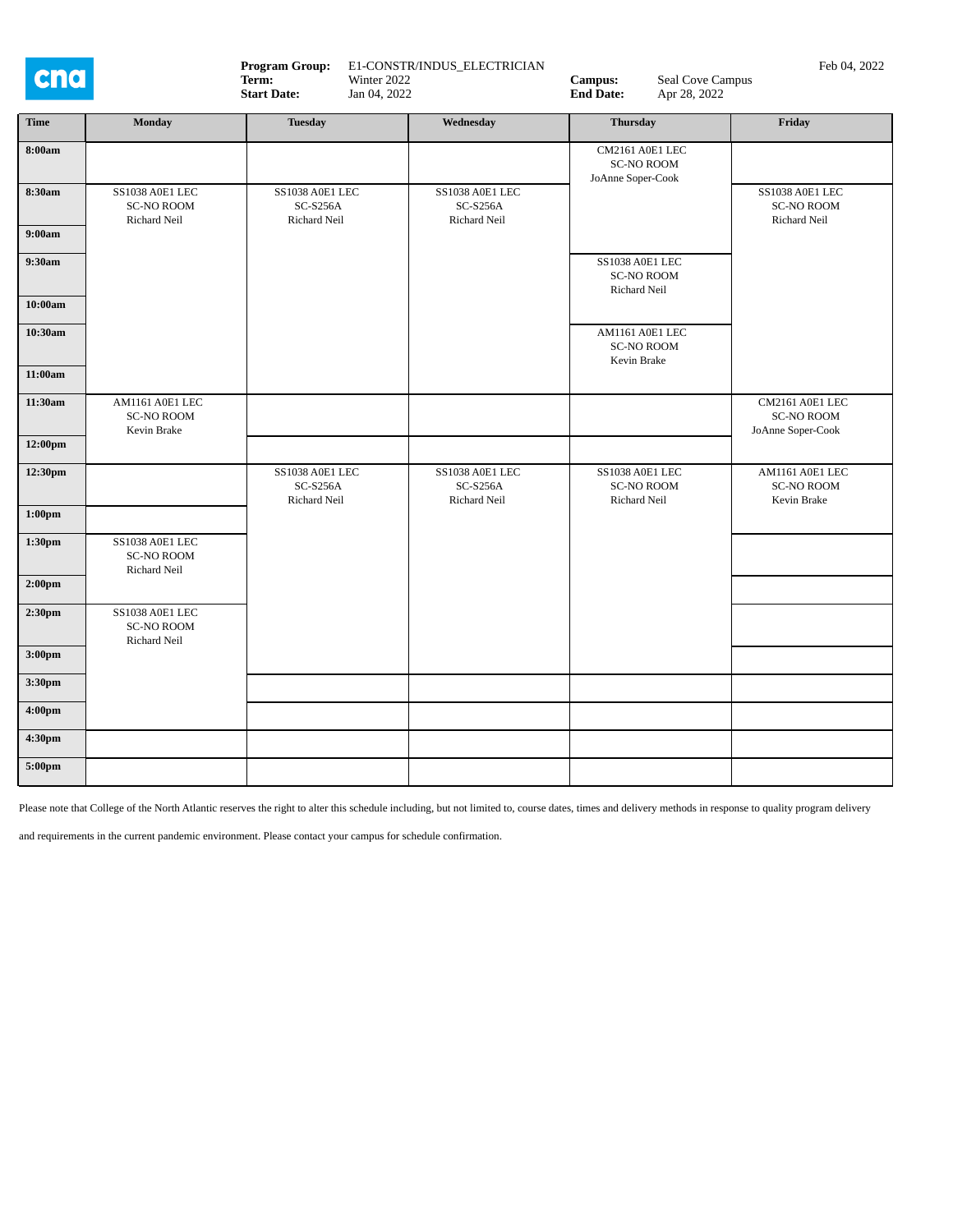

**Program Group:** E1-CONSTR/INDUS\_ELECTRICIAN **Campus:** Seal Cove Campus Feb 04, 2022 **Campus:** Seal Cove Campus Feb 04, 2022 **Term:** Winter 2022 **Campus:** Seal Cove Campus<br>
Start Date: Jan 04, 2022 **End Date:** Apr 28, 2022

**Start Date:** Jan 04, 2022 **End Date:** Apr 28, 2022

| <b>Time</b>        | Monday                                               | <b>Tuesday</b>                                            | Wednesday                                            | <b>Thursday</b>                                           | Friday                                                      |
|--------------------|------------------------------------------------------|-----------------------------------------------------------|------------------------------------------------------|-----------------------------------------------------------|-------------------------------------------------------------|
| 8:00am             |                                                      |                                                           |                                                      | CM2161 A0E1 LEC<br><b>SC-NO ROOM</b><br>JoAnne Soper-Cook |                                                             |
| 8:30am             | SS1038 A0E1 LEC<br><b>SC-NO ROOM</b><br>Richard Neil | SS1038 A0E1 LEC<br>$SC-S256A$<br>Richard Neil             | SS1038 A0E1 LEC<br>$SC-S256A$<br><b>Richard Neil</b> |                                                           | SS1038 A0E1 LEC<br><b>SC-NO ROOM</b><br><b>Richard Neil</b> |
| 9:00am             |                                                      |                                                           |                                                      |                                                           |                                                             |
| 9:30am             |                                                      |                                                           |                                                      | SS1038 A0E1 LEC<br><b>SC-NO ROOM</b><br>Richard Neil      |                                                             |
| 10:00am            |                                                      |                                                           |                                                      |                                                           |                                                             |
| 10:30am            |                                                      |                                                           |                                                      | AM1161 A0E1 LEC<br><b>SC-NO ROOM</b><br>Kevin Brake       |                                                             |
| 11:00am            |                                                      |                                                           |                                                      |                                                           |                                                             |
| 11:30am            | AM1161 A0E1 LEC<br><b>SC-NO ROOM</b><br>Kevin Brake  |                                                           |                                                      |                                                           | CM2161 A0E1 LEC<br><b>SC-NO ROOM</b><br>JoAnne Soper-Cook   |
| 12:00pm            |                                                      |                                                           |                                                      |                                                           |                                                             |
| 12:30pm            |                                                      | <b>SS1038 A0E1 LEC</b><br><b>SC-S256A</b><br>Richard Neil | SS1038 A0E1 LEC<br><b>SC-S256A</b><br>Richard Neil   | SS1038 A0E1 LEC<br><b>SC-NO ROOM</b><br>Richard Neil      | AM1161 A0E1 LEC<br><b>SC-NO ROOM</b><br>Kevin Brake         |
| 1:00 <sub>pm</sub> |                                                      |                                                           |                                                      |                                                           |                                                             |
| 1:30pm             | SS1038 A0E1 LEC<br><b>SC-NO ROOM</b><br>Richard Neil |                                                           |                                                      |                                                           |                                                             |
| $2:00 \mathrm{pm}$ |                                                      |                                                           |                                                      |                                                           |                                                             |
| 2:30 <sub>pm</sub> | SS1038 A0E1 LEC<br><b>SC-NO ROOM</b><br>Richard Neil |                                                           |                                                      |                                                           |                                                             |
| 3:00 <sub>pm</sub> |                                                      |                                                           |                                                      |                                                           |                                                             |
| 3:30pm             |                                                      |                                                           |                                                      |                                                           |                                                             |
| 4:00 <sub>pm</sub> |                                                      |                                                           |                                                      |                                                           |                                                             |
| 4:30pm             |                                                      |                                                           |                                                      |                                                           |                                                             |
| 5:00pm             |                                                      |                                                           |                                                      |                                                           |                                                             |

Please note that College of the North Atlantic reserves the right to alter this schedule including, but not limited to, course dates, times and delivery methods in response to quality program delivery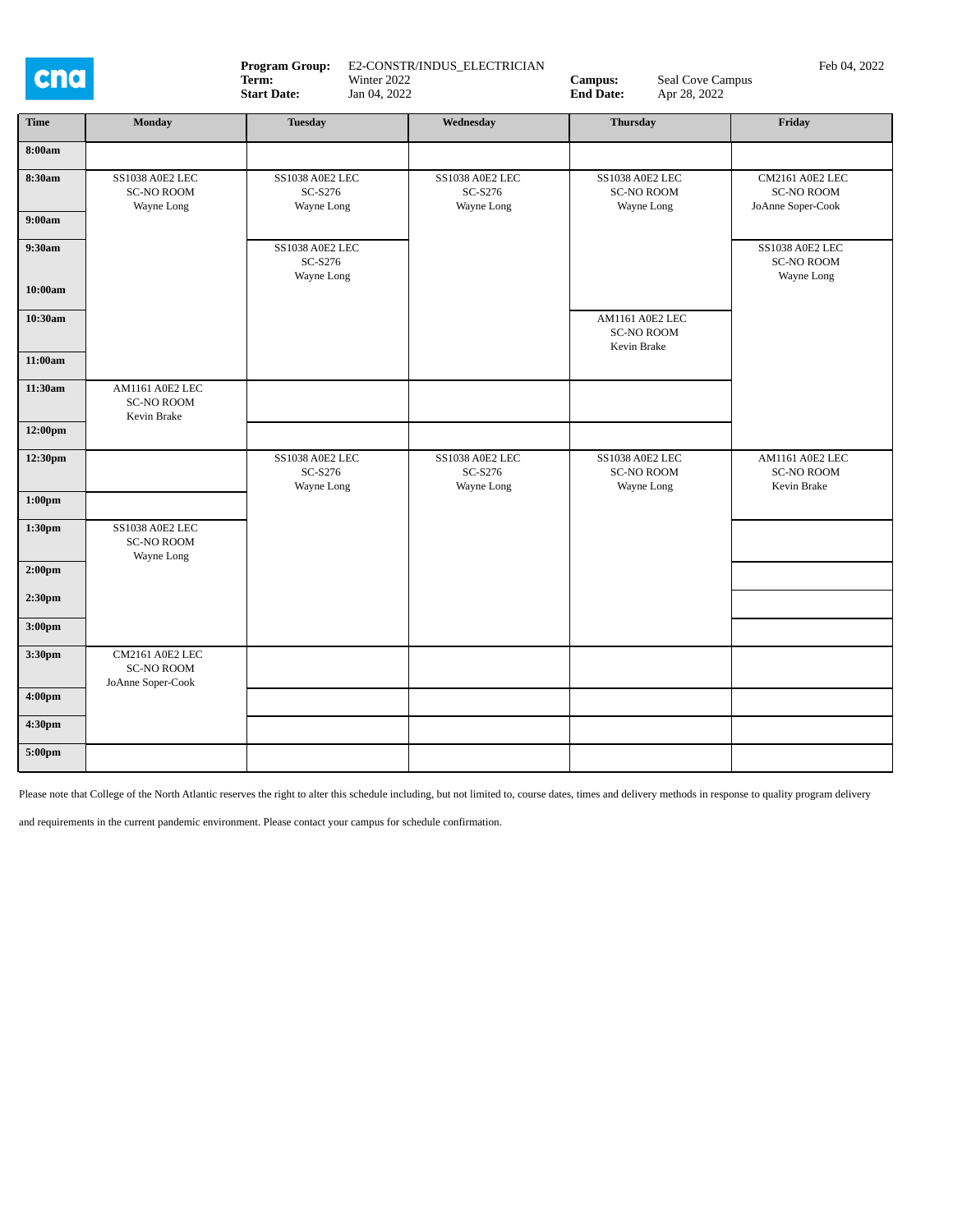

**Program Group:** E2-CONSTR/INDUS\_ELECTRICIAN **Campus:** Seal Cove Campus Feb 04, 2022 **Campus:** Seal Cove Campus Feb 04, 2022

**Start Date:** Jan 04, 2022 **End Date:** Apr 28, 2022

| <b>Time</b>        | <b>Monday</b>                                             | <b>Tuesday</b>                           | Wednesday                                  | <b>Thursday</b>                                     | Friday                                                    |
|--------------------|-----------------------------------------------------------|------------------------------------------|--------------------------------------------|-----------------------------------------------------|-----------------------------------------------------------|
| 8:00am             |                                                           |                                          |                                            |                                                     |                                                           |
| 8:30am             | <b>SS1038 A0E2 LEC</b><br><b>SC-NO ROOM</b><br>Wayne Long | SS1038 A0E2 LEC<br>SC-S276<br>Wayne Long | SS1038 A0E2 LEC<br>$SC-S276$<br>Wayne Long | SS1038 A0E2 LEC<br><b>SC-NO ROOM</b><br>Wayne Long  | CM2161 A0E2 LEC<br><b>SC-NO ROOM</b><br>JoAnne Soper-Cook |
| 9:00am             |                                                           |                                          |                                            |                                                     |                                                           |
| 9:30am             |                                                           | SS1038 A0E2 LEC<br>SC-S276<br>Wayne Long |                                            |                                                     | SS1038 A0E2 LEC<br><b>SC-NO ROOM</b><br>Wayne Long        |
| 10:00am            |                                                           |                                          |                                            |                                                     |                                                           |
| 10:30am            |                                                           |                                          |                                            | AM1161 A0E2 LEC<br><b>SC-NO ROOM</b><br>Kevin Brake |                                                           |
| 11:00am            |                                                           |                                          |                                            |                                                     |                                                           |
| 11:30am            | AM1161 A0E2 LEC<br><b>SC-NO ROOM</b><br>Kevin Brake       |                                          |                                            |                                                     |                                                           |
| 12:00pm            |                                                           |                                          |                                            |                                                     |                                                           |
| 12:30pm            |                                                           | SS1038 A0E2 LEC<br>SC-S276<br>Wayne Long | SS1038 A0E2 LEC<br>SC-S276<br>Wayne Long   | SS1038 A0E2 LEC<br><b>SC-NO ROOM</b><br>Wayne Long  | AM1161 A0E2 LEC<br><b>SC-NO ROOM</b><br>Kevin Brake       |
| $1:00 \mathrm{pm}$ |                                                           |                                          |                                            |                                                     |                                                           |
| 1:30pm             | <b>SS1038 A0E2 LEC</b><br><b>SC-NO ROOM</b><br>Wayne Long |                                          |                                            |                                                     |                                                           |
| 2:00 <sub>pm</sub> |                                                           |                                          |                                            |                                                     |                                                           |
| 2:30 <sub>pm</sub> |                                                           |                                          |                                            |                                                     |                                                           |
| 3:00 <sub>pm</sub> |                                                           |                                          |                                            |                                                     |                                                           |
| 3:30pm             | CM2161 A0E2 LEC<br><b>SC-NO ROOM</b><br>JoAnne Soper-Cook |                                          |                                            |                                                     |                                                           |
| 4:00pm             |                                                           |                                          |                                            |                                                     |                                                           |
| 4:30pm             |                                                           |                                          |                                            |                                                     |                                                           |
| 5:00pm             |                                                           |                                          |                                            |                                                     |                                                           |

Please note that College of the North Atlantic reserves the right to alter this schedule including, but not limited to, course dates, times and delivery methods in response to quality program delivery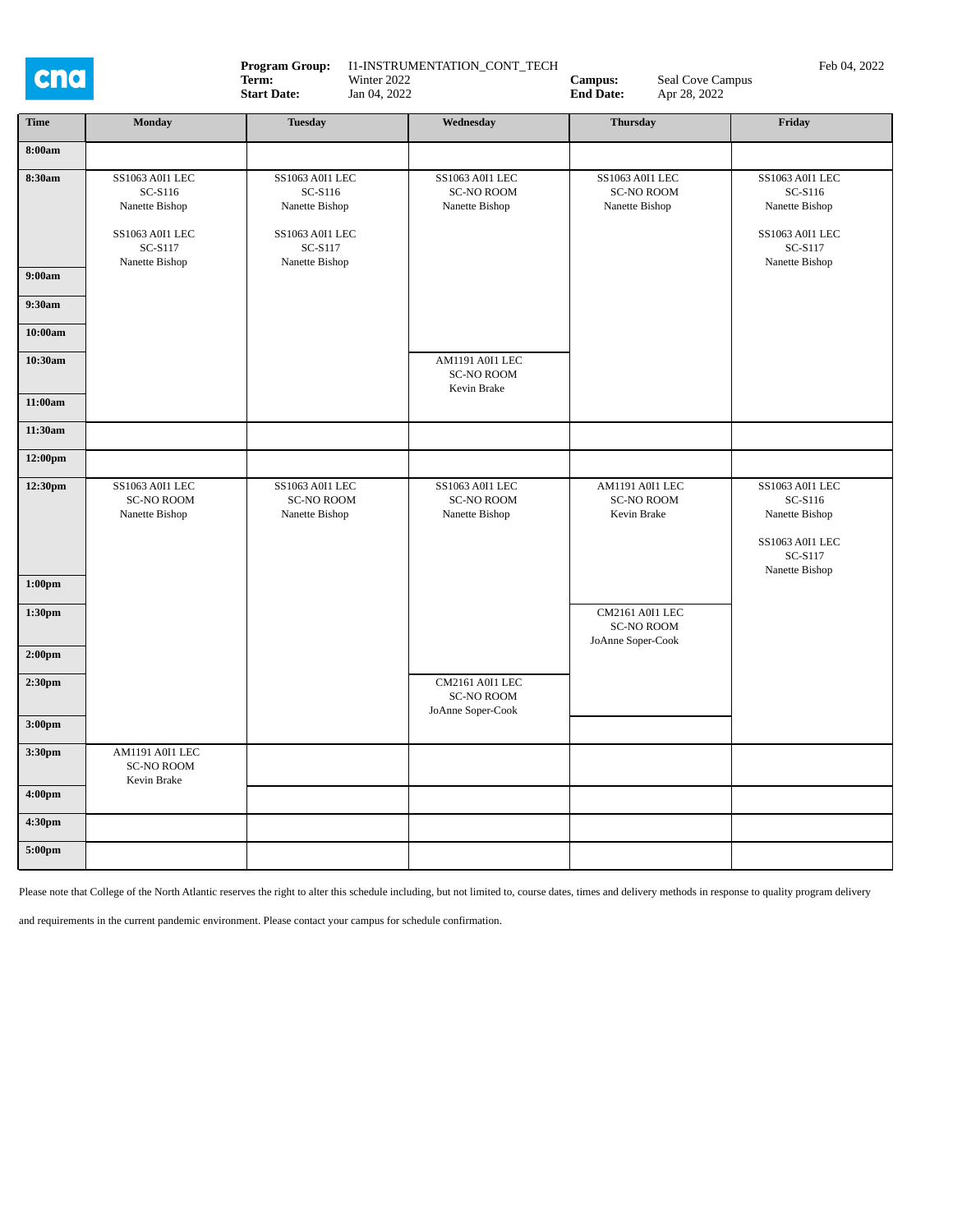| cna                |                                                                                              | <b>Program Group:</b><br>I1-INSTRUMENTATION_CONT_TECH<br>Term:<br>Winter 2022<br>Jan 04, 2022<br><b>Start Date:</b> |                                                           | Seal Cove Campus<br>Campus:<br><b>End Date:</b><br>Apr 28, 2022 | Feb 04, 2022                                                                                        |  |
|--------------------|----------------------------------------------------------------------------------------------|---------------------------------------------------------------------------------------------------------------------|-----------------------------------------------------------|-----------------------------------------------------------------|-----------------------------------------------------------------------------------------------------|--|
| Time               | <b>Monday</b>                                                                                | <b>Tuesday</b>                                                                                                      | Wednesday                                                 | <b>Thursday</b>                                                 | Friday                                                                                              |  |
| 8:00am             |                                                                                              |                                                                                                                     |                                                           |                                                                 |                                                                                                     |  |
| 8:30am             | SS1063 A0I1 LEC<br>SC-S116<br>Nanette Bishop<br>SS1063 A0I1 LEC<br>SC-S117<br>Nanette Bishop | SS1063 A0I1 LEC<br>SC-S116<br>Nanette Bishop<br>SS1063 A0I1 LEC<br>SC-S117<br>Nanette Bishop                        | SS1063 A0I1 LEC<br><b>SC-NO ROOM</b><br>Nanette Bishop    | SS1063 A0I1 LEC<br><b>SC-NO ROOM</b><br>Nanette Bishop          | SS1063 A0I1 LEC<br>SC-S116<br>Nanette Bishop<br><b>SS1063 A0I1 LEC</b><br>SC-S117<br>Nanette Bishop |  |
| 9:00am             |                                                                                              |                                                                                                                     |                                                           |                                                                 |                                                                                                     |  |
| 9:30am<br>10:00am  |                                                                                              |                                                                                                                     |                                                           |                                                                 |                                                                                                     |  |
| 10:30am            |                                                                                              |                                                                                                                     | AM1191 A0I1 LEC<br><b>SC-NO ROOM</b><br>Kevin Brake       |                                                                 |                                                                                                     |  |
| 11:00am            |                                                                                              |                                                                                                                     |                                                           |                                                                 |                                                                                                     |  |
| 11:30am            |                                                                                              |                                                                                                                     |                                                           |                                                                 |                                                                                                     |  |
| 12:00pm            |                                                                                              |                                                                                                                     |                                                           |                                                                 |                                                                                                     |  |
| 12:30pm            | SS1063 A0I1 LEC<br><b>SC-NO ROOM</b><br>Nanette Bishop                                       | SS1063 A0I1 LEC<br><b>SC-NO ROOM</b><br>Nanette Bishop                                                              | SS1063 A0I1 LEC<br><b>SC-NO ROOM</b><br>Nanette Bishop    | AM1191 A0I1 LEC<br><b>SC-NO ROOM</b><br>Kevin Brake             | SS1063 A0I1 LEC<br>SC-S116<br>Nanette Bishop<br>SS1063 A0I1 LEC<br>SC-S117<br>Nanette Bishop        |  |
| 1:00 <sub>pm</sub> |                                                                                              |                                                                                                                     |                                                           |                                                                 |                                                                                                     |  |
| 1:30pm             |                                                                                              |                                                                                                                     |                                                           | CM2161 A0I1 LEC<br><b>SC-NO ROOM</b><br>JoAnne Soper-Cook       |                                                                                                     |  |
| 2:00 <sub>pm</sub> |                                                                                              |                                                                                                                     |                                                           |                                                                 |                                                                                                     |  |
| 2:30 <sub>pm</sub> |                                                                                              |                                                                                                                     | CM2161 A0I1 LEC<br><b>SC-NO ROOM</b><br>JoAnne Soper-Cook |                                                                 |                                                                                                     |  |
| 3:00 <sub>pm</sub> |                                                                                              |                                                                                                                     |                                                           |                                                                 |                                                                                                     |  |
| 3:30pm             | AM1191 A0I1 LEC<br><b>SC-NO ROOM</b><br>Kevin Brake                                          |                                                                                                                     |                                                           |                                                                 |                                                                                                     |  |
| 4:00pm             |                                                                                              |                                                                                                                     |                                                           |                                                                 |                                                                                                     |  |
| 4:30pm             |                                                                                              |                                                                                                                     |                                                           |                                                                 |                                                                                                     |  |
| 5:00pm             |                                                                                              |                                                                                                                     |                                                           |                                                                 |                                                                                                     |  |

Please note that College of the North Atlantic reserves the right to alter this schedule including, but not limited to, course dates, times and delivery methods in response to quality program delivery